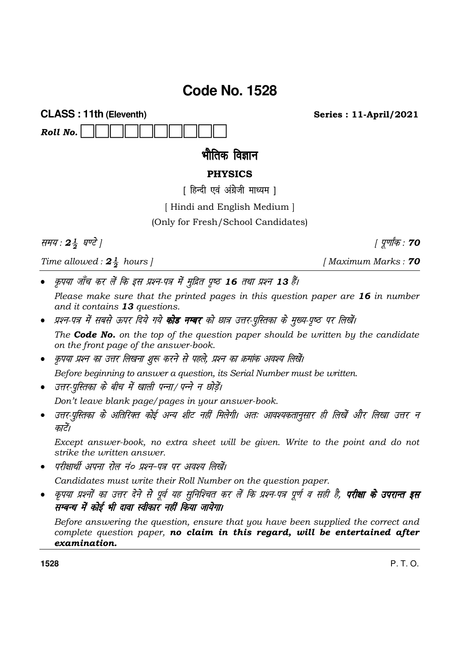# **Code No. 1528**

**CLASS: 11th (Eleventh)** Roll No.

भौतिक विज्ञान

# **PHYSICS**

[ हिन्दी एवं अंग्रेजी माध्यम ]

[Hindi and English Medium]

(Only for Fresh/School Candidates)

समय: 24 घण्टे |

Time allowed:  $2\frac{1}{2}$  hours |

कृपया जाँच कर लें कि इस प्रश्न-पत्र में मुद्रित पृष्ठ 16 तथा प्रश्न 13 हैं।

Please make sure that the printed pages in this question paper are 16 in number and it contains 13 questions.

- प्रश्न-पत्र में सबसे ऊपर दिये गये **कोड नम्बर** को छात्र उत्तर-पुस्तिका के मुख्य-पृष्ठ पर लिखें। The **Code No.** on the top of the question paper should be written by the candidate on the front page of the answer-book.
- कृपया प्रश्न का उत्तर लिखना शुरू करने से पहले, प्रश्न का क्रमांक अवश्य लिखें।

Before beginning to answer a question, its Serial Number must be written.

• उत्तर-परितका के बीच में खाली पन्ना/ पन्ने न छोडें।

Don't leave blank page/pages in your answer-book.

उत्तर-पुस्तिका के अतिरिक्त कोई अन्य शीट नहीं मिलेगी। अतः आवश्यकतानुसार ही लिखें और लिखा उत्तर न  $\bullet$ कारें।

Except answer-book, no extra sheet will be given. Write to the point and do not strike the *uritten* answer.

परीक्षार्थी अपना रोल नं० प्रश्न-पत्र पर अवश्य लिखें।

Candidates must write their Roll Number on the question paper.

कृपया प्रश्नों का उत्तर देने से पूर्व यह सुनिश्चित कर लें कि प्रश्न-पत्र पूर्ण व सही है, **परीक्षा के उपरान्त इस** सम्बन्ध में कोई भी दावा स्वीकार नहीं किया जायेगा।

Before answering the question, ensure that you have been supplied the correct and complete question paper, no claim in this regard, will be entertained after examination.

1528

[Maximum Marks: 70

| पूर्णांक : **70** 

**Series: 11-April/2021** 

P T O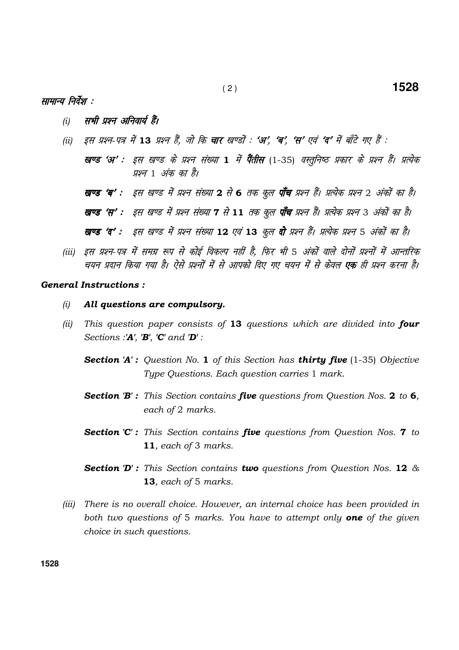## सामान्य निर्देश :

- सभी प्रश्न अनिवार्य हैं।  $(i)$
- इस प्रश्न-पत्र में 13 प्रश्न हैं, जो कि **चार** खण्डों : '**अ', 'ब', 'स'** एवं 'द' में बाँटे गए हैं :  $(ii)$ 
	- खण्ड 'अ' : इस खण्ड के प्रश्न संख्या 1 में पैंतीस (1-35) वस्तूनिष्ठ प्रकार के प्रश्न हैं। प्रत्येक प्रश्न 1 अंक का है।

**खण्ड 'ब' :** इस खण्ड में प्रश्न संख्या 2 से 6 तक कूल **पाँच** प्रश्न हैं। प्रत्येक प्रश्न 2 अंकों का है।

**खण्ड 'स'** : इस खण्ड में प्रश्न संख्या 7 से 11 तक कूल **पाँच** प्रश्न हैं। प्रत्येक प्रश्न 3 अंकों का है।

```
खण्ड 'द' : इस खण्ड में प्रश्न संख्या 12 एवं 13 कूल दो प्रश्न हैं। प्रत्येक प्रश्न 5 अंकों का है।
```
(iii) इस प्रश्न-पत्र में समग्र रूप से कोई विकल्प नहीं है. फिर भी 5 अंकों वाले दोनों प्रश्नों में आन्तरिक चयन प्रदान किया गया है। ऐसे प्रश्नों में से आपको दिए गए चयन में से केवल **एक** ही प्रश्न करना है।

#### **General Instructions:**

- All questions are compulsory.  $(i)$
- $(ii)$ This question paper consists of 13 questions which are divided into four Sections :' $A'$ , ' $B'$ , ' $C'$  and ' $D'$ :
	- **Section 'A':** Question No. 1 of this Section has **thirty five** (1-35) Objective Type Questions. Each question carries 1 mark.
	- **Section 'B':** This Section contains **five** questions from Question Nos. 2 to 6, each of 2 marks.
	- **Section 'C':** This Section contains **five** questions from Question Nos. **7** to 11, each of 3 marks.
	- **Section 'D':** This Section contains **two** questions from Question Nos. 12  $\&$ 13, each of 5 marks.
- (iii) There is no overall choice. However, an internal choice has been provided in both two questions of 5 marks. You have to attempt only **one** of the given choice in such questions.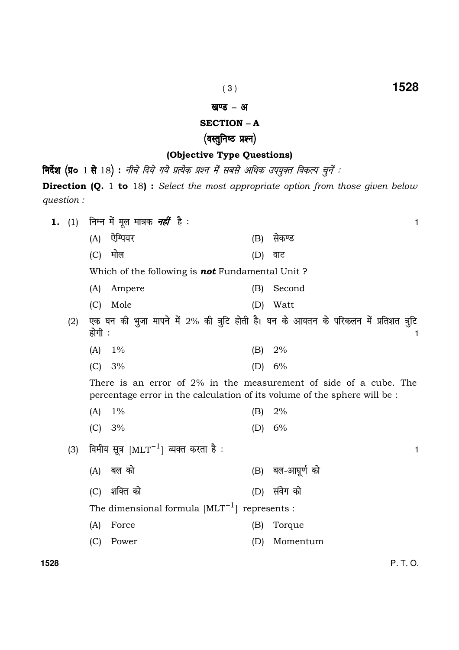$\mathbf{1}$ 

#### खण्ड - अ

## **SECTION - A**

# (वस्तुनिष्ठ प्रश्न)

## (Objective Type Questions)

निर्देश (प्र० 1 से 18) : नीचे दिये गये प्रत्येक प्रश्न में सबसे अधिक उपयुक्त विकल्प चुनें : **Direction (Q.** 1 to 18): Select the most appropriate option from those given below question:

निम्न में मूल मात्रक *नहीं* है : 1.  $(1)$ 

> (A) ऐम्पियर (B) सेकण्ड  $(C)$  मोल (D) वाट

Which of the following is not Fundamental Unit?

- Second (A) Ampere  $(B)$
- (C) Mole (D) Watt
- (2) एक घन की भुजा मापने में 2% की त्रुटि होती है। घन के आयतन के परिकलन में प्रतिशत त्रुटि होगी :
	- $(A)$  $2%$  $1%$  $(B)$
	- $6%$  $(C) 3%$  $(D)$

There is an error of 2% in the measurement of side of a cube. The percentage error in the calculation of its volume of the sphere will be :

- $(A)$  $1\%$  $2%$  $(B)$
- $(C) 3%$ (D)  $6\%$
- विमीय सूत्र  $\text{[MLT}^{-1}\text{]}$  व्यक्त करता है :  $(3)$ 
	- (B) बल-आघूर्ण को  $(A)$  बल को
	- (C) शक्ति को (D) संवेग को
		- The dimensional formula  $[MLT^{-1}]$  represents :
		- $(A)$ Force Torque  $(B)$
		- (D) Momentum (C) Power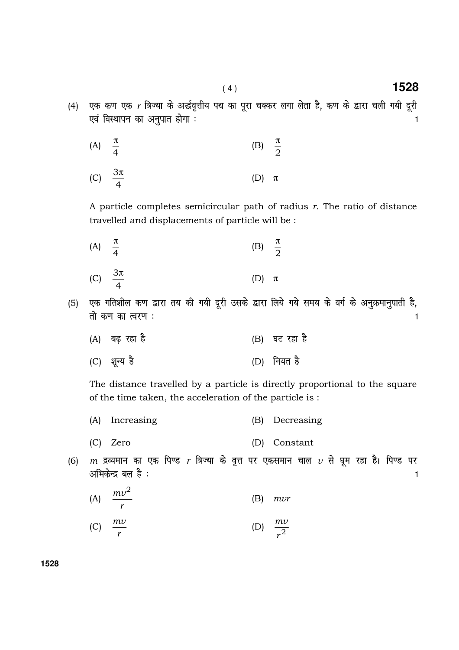- (4) एक कण एक r त्रिज्या के अर्द्धवृत्तीय पथ का पूरा चक्कर लगा लेता है, कण के द्वारा चली गयी दूरी ,o a foLFkkiu dk vu qikr gksxk % <sup>1</sup>
	- (A) 4 π (B) 2 π
	- (C) 4 3π  $(D)$  π

A particle completes semicircular path of radius  $r$ . The ratio of distance travelled and displacements of particle will be :

 (A) 4 π  $(B)$ 2 π

(C) 
$$
\frac{3\pi}{4}
$$
 (D)  $\pi$ 

- (5) एक गतिशील कण द्वारा तय की गयी दूरी उसके द्वारा लिये गये समय के वर्ग के अनुक्रमानुपाती है, rks d.k dk Roj.k % <sup>1</sup>
	- (A) बढ़ रहा है *(B) घट रहा है*
	- (C) शून्य है (D) नियत है

 The distance travelled by a particle is directly proportional to the square of the time taken, the acceleration of the particle is :

- (A) Increasing (B) Decreasing
- (C) Zero (D) Constant
- (6)  $m$  द्रव्यमान का एक पिण्ड  $r$  त्रिज्या के वृत्त पर एकसमान चाल  $\nu$  से घूम रहा है। पिण्ड पर  $\frac{1}{2}$ अभिकेन्द्र बल है :  $\frac{1}{2}$
- (A) r  $mv^2$ (B) mvr

(C) 
$$
\frac{mv}{r}
$$
 (D)  $\frac{mv}{r^2}$ 

( 4 ) **1528**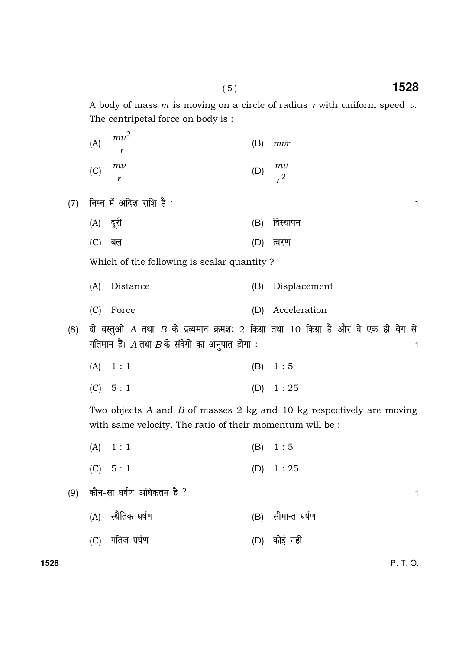A body of mass m is moving on a circle of radius r with uniform speed  $\nu$ . The centripetal force on body is :

| (A)            | $mv^2$         | (B) | mvr            |
|----------------|----------------|-----|----------------|
| $\overline{C}$ | $\frac{mv}{ }$ |     | $\frac{mv}{2}$ |

 $(7)$  निम्न में अदिश राशि है :

- (A) nwjh (B) foLFkkiu
- (C) बल (D) त्वरण

Which of the following is scalar quantity ?

- (A) Distance (B) Displacement
- (C) Force (D) Acceleration
- (8) दो वस्तुओं A तथा B के द्रव्यमान क्रमशः 2 किग्रा तथा 10 किग्रा हैं और वे एक ही वेग से गतिमान हैं।  $A$  तथा  $B$  के संवेगों का अनुपात होगा :  $\hspace{1.5cm}$ 
	- (A)  $1:1$  (B)  $1:5$
	- (C)  $5:1$  (D)  $1:25$

 Two objects A and B of masses 2 kg and 10 kg respectively are moving with same velocity. The ratio of their momentum will be :

- (A)  $1 : 1$  (B)  $1 : 5$ 
	- (C)  $5:1$  (D)  $1:25$
- (9) dkSu-lk ?k"kZ.k vf/kdre gS \ <sup>1</sup>
	- (A) स्थैतिक घर्षण (B) सीमान्त घर्षण
	- (C) xfrt ?k"k Z.k (D) dk sbZ ugh a

**1528** P. T. O.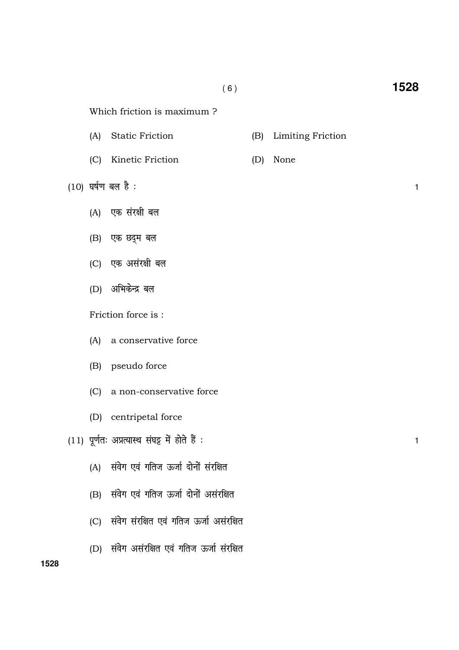(B) Limiting Friction

(D) None

- $(A)$ **Static Friction**
- (C) Kinetic Friction
- $(10)$  घर्षण बल है:
	- (A) एक संरक्षी बल
	- (B) एक छद्म बल
	- (C) एक असंरक्षी बल
	- (D) अभिकेन्द्र बल

Friction force is:

- (A) a conservative force
- (B) pseudo force
- (C) a non-conservative force
- (D) centripetal force
- $(11)$  पूर्णतः अप्रत्यास्थ संघट्ट में होते हैं :
	- (A) संवेग एवं गतिज ऊर्जा दोनों संरक्षित
	- (B) संवेग एवं गतिज ऊर्जा दोनों असंरक्षित
	- (C) संवेग संरक्षित एवं गतिज ऊर्जा असंरक्षित
	- (D) संवेग असंरक्षित एवं गतिज ऊर्जा संरक्षित

 $\mathbf{1}$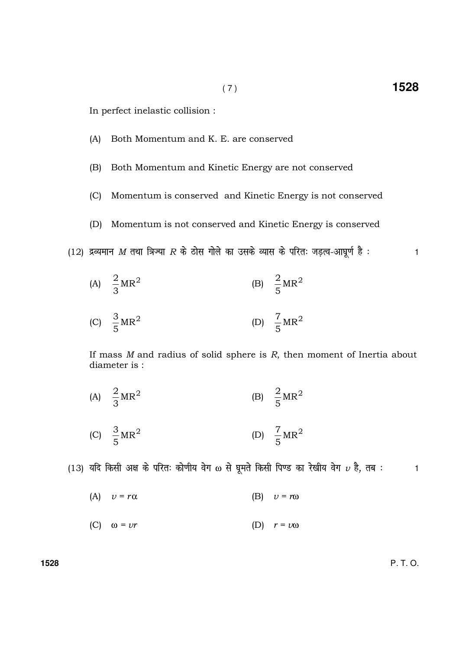In perfect inelastic collision :

- (A) Both Momentum and K. E. are conserved
- (B) Both Momentum and Kinetic Energy are not conserved
- (C) Momentum is conserved and Kinetic Energy is not conserved
- (D) Momentum is not conserved and Kinetic Energy is conserved
- (12) द्रव्यमान M तथा त्रिज्या R के ठोस गोले का उसके व्यास के परितः जड़त्व-आघूर्ण है :  $\,$
- (A)  $\frac{2}{3}MR^2$ 3 2 (B)  $\frac{2}{5}MR^2$ 5 2
- (C)  $\frac{3}{5}MR^2$ 5 3  $(D) \quad \frac{7}{5}MR^2$ 5 7

If mass  $M$  and radius of solid sphere is  $R$ , then moment of Inertia about diameter is :

- (A)  $\frac{2}{3}MR^2$ 3 2 (B)  $\frac{2}{5}MR^2$ 5 2
- (C)  $\frac{3}{5}MR^2$ 5 3  $(D) \quad \frac{7}{5}MR^2$ 5 7

(13) यदि किसी अक्ष के परितः कोणीय वेग  $\omega$  से घूमते किसी पिण्ड का रेखीय वेग  $\nu$  है, तब :  $\hspace{1.6cm}$  1

- (A)  $v = r\alpha$  (B)  $v = r\omega$
- (C)  $\omega = v r$  (D)  $r = v \omega$

**1528** P. T. O.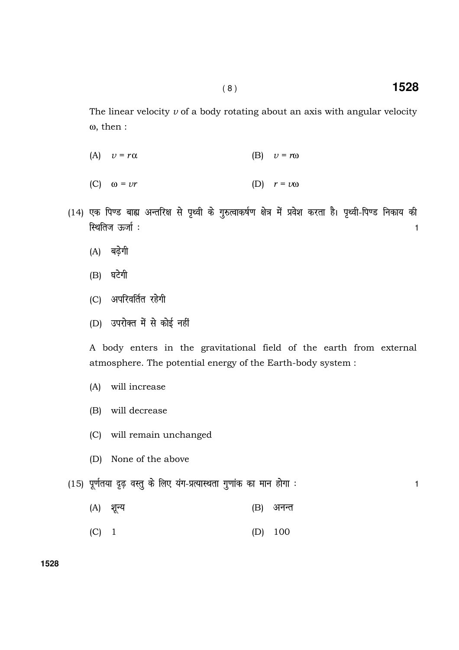$\mathbf{1}$ 

The linear velocity  $\nu$  of a body rotating about an axis with angular velocity  $\omega$ , then:

- (A)  $v = r\alpha$  $(B)$  $v = r\omega$
- (C)  $\omega = v r$ (D)  $r = v\omega$
- (14) एक पिण्ड बाह्य अन्तरिक्ष से पृथ्वी के गुरुत्वाकर्षण क्षेत्र में प्रवेश करता है। पृथ्वी-पिण्ड निकाय की स्थितिज ऊर्जा :  $\mathbf{1}$ 
	- (A) बढ़ेगी
	- $(B)$  घटेगी
	- (C) अपरिवर्तित रहेगी
	- (D) उपरोक्त में से कोई नहीं

A body enters in the gravitational field of the earth from external atmosphere. The potential energy of the Earth-body system :

- will increase  $(A)$
- (B) will decrease
- (C) will remain unchanged
- (D) None of the above
- (15) पूर्णतया दृढ़ वस्तु के लिए यंग-प्रत्यास्थता गुणांक का मान होगा :
	- (A) शून्य  $(B)$ अनन्त
	- $(C)$  1 100  $(D)$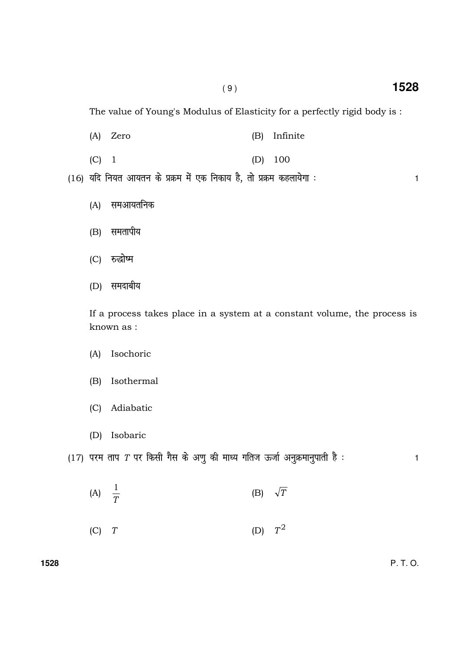The value of Young's Modulus of Elasticity for a perfectly rigid body is:

- $(A)$  Zero (B) Infinite
- $(C)$  1  $(D)$ 100

(16) यदि नियत आयतन के प्रक्रम में एक निकाय है, तो प्रक्रम कहलायेगा :

- समआयतनिक  $(A)$
- (B) समतापीय
- (C) रुद्धोष्म
- (D) समदाबीय

If a process takes place in a system at a constant volume, the process is known as :

- Isochoric  $(A)$
- Isothermal  $(B)$
- (C) Adiabatic
- (D) Isobaric

(17) परम ताप T पर किसी गैस के अणु की माध्य गतिज ऊर्जा अनुक्रमानुपाती है:  $\mathbf{1}$ 

- (A)  $\frac{1}{T}$ (B)  $\sqrt{T}$
- (D)  $T^2$  $(C)$   $T$

1528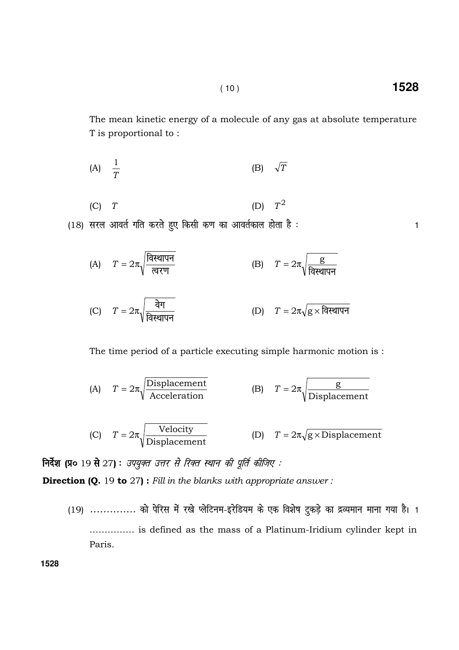The mean kinetic energy of a molecule of any gas at absolute temperature T is proportional to:

1528

 $\mathbf{1}$ 

$$
(A) \quad \frac{1}{T} \qquad \qquad (B) \quad \sqrt{T}
$$

$$
(C) T \t\t (D) T2
$$

(18) सरल आवर्त गति करते हुए किसी कण का आवर्तकाल होता है:

The time period of a particle executing simple harmonic motion is:

(A) 
$$
T = 2\pi \sqrt{\frac{\text{Displacement}}{\text{Acceleration}}}
$$
 (B)  $T = 2\pi \sqrt{\frac{\text{g}}{\text{Displacement}}}$   
(C)  $T = 2\pi \sqrt{\frac{\text{Velocity}}{\text{Displacement}}}$  (D)  $T = 2\pi \sqrt{\text{g} \times \text{Displacement}}$ 

निर्देश (प्र० 19 से 27): उपयुक्त उत्तर से रिक्त स्थान की पूर्ति कीजिए:

**Direction (Q.** 19 to  $27$ ): Fill in the blanks with appropriate answer:

(19) .............. को पेरिस में रखे प्लेटिनम-इरेडियम के एक विशेष टुकड़े का द्रव्यमान माना गया है। 1 ............... is defined as the mass of a Platinum-Iridium cylinder kept in Paris.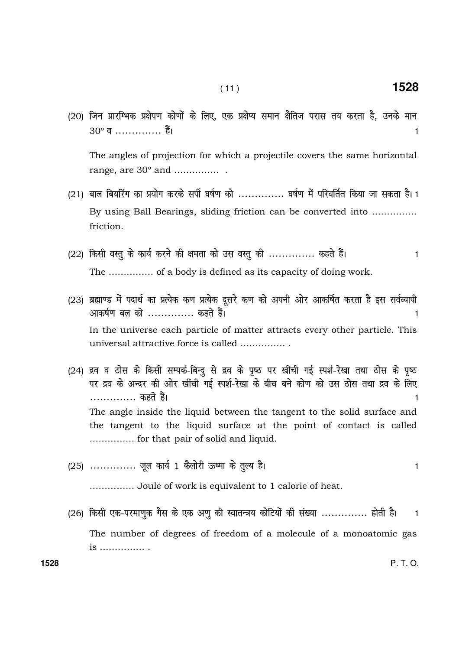(20) जिन प्रारम्भिक प्रक्षेपण कोणों के लिए, एक प्रक्षेप्य समान क्षैतिज परास तय करता है, उनके मान 30° व ............... हैं।  $\mathbf{1}$ 

The angles of projection for which a projectile covers the same horizontal range, are  $30^{\circ}$  and ...................

- (21) बाल बियरिंग का प्रयोग करके सर्पी घर्षण को .............. घर्षण में परिवर्तित किया जा सकता है। 1 By using Ball Bearings, sliding friction can be converted into .............. friction.
- (22) किसी वस्तु के कार्य करने की क्षमता को उस वस्तु की .............. कहते हैं।  $\mathbf{1}$ The ............... of a body is defined as its capacity of doing work.
- (23) ब्रह्माण्ड में पदार्थ का प्रत्येक कण प्रत्येक दुसरे कण को अपनी ओर आकर्षित करता है इस सर्वव्यापी आकर्षण बल को .............. कहते हैं। 1 In the universe each particle of matter attracts every other particle. This universal attractive force is called ................
- (24) द्रव व ठोस के किसी सम्पर्क-बिन्दु से द्रव के पृष्ठ पर खींची गई स्पर्श-रेखा तथा ठोस के पृष्ठ पर द्रव के अन्दर की ओर खींची गई स्पर्श-रेखा के बीच बने कोण को उस ठोस तथा द्रव के लिए .............. कहते हैं।  $\mathbf{1}$ The angle inside the liquid between the tangent to the solid surface and the tangent to the liquid surface at the point of contact is called ................ for that pair of solid and liquid.
- (25) .............. जूल कार्य 1 कैलोरी ऊष्मा के तुल्य है।

............... Joule of work is equivalent to 1 calorie of heat.

(26) किसी एक-परमाणुक गैस के एक अणु की स्वातन्त्रय कोटियों की संख्या .............. होती है।  $\overline{1}$ The number of degrees of freedom of a molecule of a monoatomic gas is ................ .

1528

 $P.T.O.$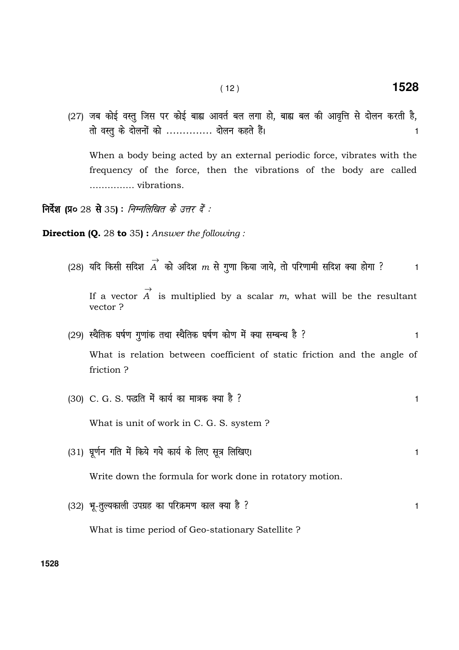(27) जब कोई वस्तू जिस पर कोई बाह्य आवर्त बल लगा हो, बाह्य बल की आवृत्ति से दोलन करती है, तो वस्तू के दोलनों को .............. दोलन कहते हैं।  $\,$ 

 When a body being acted by an external periodic force, vibrates with the frequency of the force, then the vibrations of the body are called …………… vibrations.

**निर्देश (प्र०** 28 से 35) : *निम्नलिखित के उत्तर दें :* 

**Direction (Q.** 28 to 35): Answer the following:

- (28) यदि किसी सदिश  $\stackrel{\rightarrow}{A}$  को अदिश  $m$  से गुणा किया जाये, तो परिणामी सदिश क्या होगा ?  $\hspace{1cm}$  1 If a vector  $\rightarrow$ A is multiplied by a scalar  $m$ , what will be the resultant vector ?
- (29) स्थैतिक घर्षण गुणांक तथा स्थैतिक घर्षण कोण में क्या सम्बन्ध है ?

 What is relation between coefficient of static friction and the angle of friction ?

(30) C. G. S. पद्धति में कार्य का मात्रक क्या है ? बाद कर से पानी के बाद कर से 1

What is unit of work in C. G. S. system ?

(31) घूर्णन गति में किये गये कार्य के लिए सूत्र लिखिए। संस्कृतिक कार्यक्रम के साथ कर समय है।

Write down the formula for work done in rotatory motion.

(32) भू-तूल्यकाली उपग्रह का परिक्रमण काल क्या है ?

What is time period of Geo-stationary Satellite ?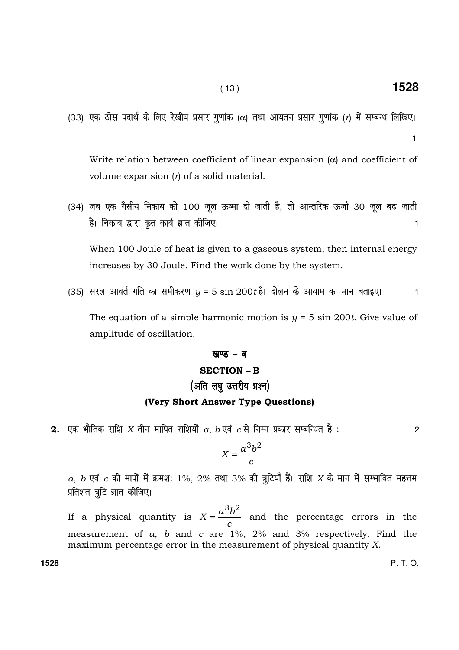(33) एक ठोस पदार्थ के लिए रेखीय प्रसार गुणांक ( $\alpha$ ) तथा आयतन प्रसार गुणांक (r) में सम्बन्ध लिखिए।

 Write relation between coefficient of linear expansion (α) and coefficient of volume expansion  $(r)$  of a solid material.

(34) जब एक गैसीय निकाय को 100 जूल ऊष्मा दी जाती है, तो आन्तरिक ऊर्जा 30 जूल बढ़ जाती है। निकाय द्वारा कृत कार्य ज्ञात कीजिए। संस्कृत कार्यक्रम के साथ प्रकार के साथ प्रकार के साथ प्रकार क

 When 100 Joule of heat is given to a gaseous system, then internal energy increases by 30 Joule. Find the work done by the system.

(35) सरल आवर्त गति का समीकरण  $y = 5 \sin 200t$ है। दोलन के आयाम का मान बताइए।  $\hspace{1cm}$  1

The equation of a simple harmonic motion is  $y = 5 \sin 200t$ . Give value of amplitude of oscillation.

#### खण्ड – ब

#### SECTION **–** B

# (अति लघु उत्तरीय प्रश्न)

#### (Very Short Answer Type Questions)

2. एक भौतिक राशि  $X$  तीन मापित राशियों  $a,$   $b$  एवं  $\,$  से निम्न प्रकार सम्बन्धित है :  $\hskip250pt 2$ 

$$
X = \frac{a^3b^2}{c}
$$

 $a, b$  एवं  $c$  की मापों में क्रमशः 1%, 2% तथा 3% की त्रुटियाँ हैं। राशि  $X$  के मान में सम्भावित महत्तम प्रतिशत त्रुटि ज्ञात कीजिए।

If a physical quantity is c  $X = \frac{a^3b}{a^3}$  $3h^2$  $=\frac{a}{}$  and the percentage errors in the measurement of a, b and c are 1%, 2% and 3% respectively. Find the maximum percentage error in the measurement of physical quantity X.

**1528** P. T. O.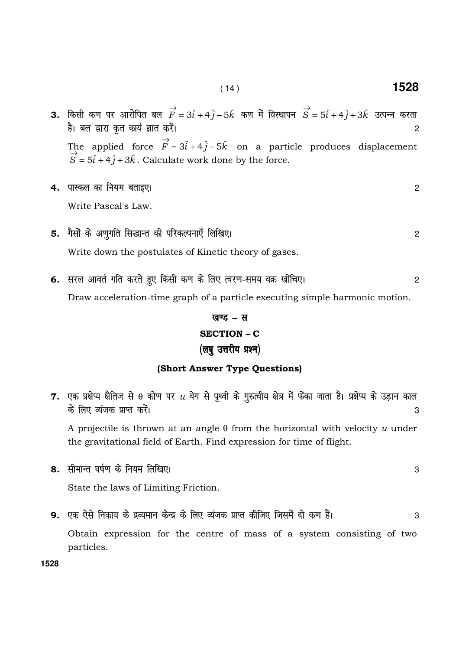- **3.** किसी कण पर आरोपित बल  $\overrightarrow{F} = 3\hat{i} + 4\hat{j} 5\hat{k}$  कण में विस्थापन  $\overrightarrow{S} = 5\hat{i} + 4\hat{j} + 3\hat{k}$  उत्पन्न करता है। बल द्वारा कृत कार्य ज्ञात करें।  $\overline{2}$ The applied force  $\vec{F} = 3\hat{i} + 4\hat{j} - 5\hat{k}$  on a particle produces displacement  $\vec{S} = 5\hat{i} + 4\hat{j} + 3\hat{k}$ . Calculate work done by the force.
- 4. पास्कल का नियम बताइए। Write Pascal's Law.
- 5. गैसों के अणुगति सिद्धान्त की परिकल्पनाएँ लिखिए। Write down the postulates of Kinetic theory of gases.
- 6. सरल आवर्त गति करते हुए किसी कण के लिए त्वरण-समय वक्र खींचिए।  $\overline{2}$ Draw acceleration-time graph of a particle executing simple harmonic motion.

# खण्ड - स **SECTION - C** (लघु उत्तरीय प्रश्न)

# (Short Answer Type Questions)

- 7. एक प्रक्षेप्य क्षैतिज से  $\theta$  कोण पर  $u$  वेग से पृथ्वी के गुरुत्वीय क्षेत्र में फेंका जाता है। प्रक्षेप्य के उड़ान काल के लिए व्यंजक प्राप्त करें। 3 A projectile is thrown at an angle  $\theta$  from the horizontal with velocity u under the gravitational field of Earth. Find expression for time of flight. 8. सीमान्त घर्षण के नियम लिखिए। 3 State the laws of Limiting Friction.
- 9. एक ऐसे निकाय के द्रव्यमान केन्द्र के लिए व्यंजक प्राप्त कीजिए जिसमें दो कण हैं। 3 Obtain expression for the centre of mass of a system consisting of two particles.

1528

 $\overline{2}$ 

 $\overline{2}$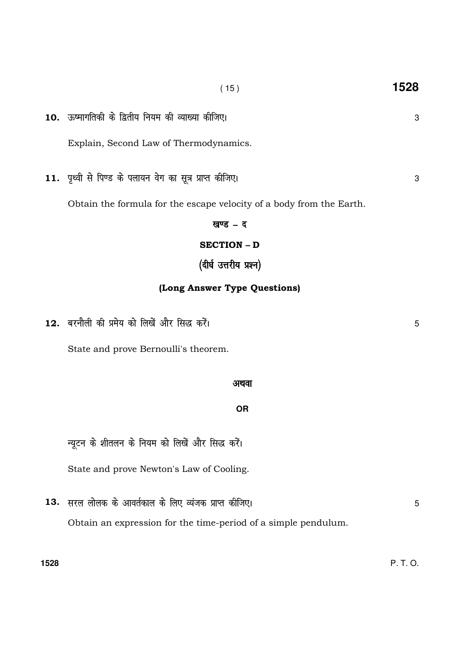5

3

3

5

10. ऊष्मागतिकी के द्वितीय नियम की व्याख्या कीजिए। Explain, Second Law of Thermodynamics.

 $(15)$ 

11. पृथ्वी से पिण्ड के पलायन वेग का सूत्र प्राप्त कीजिए।

Obtain the formula for the escape velocity of a body from the Earth.

खण्ड $-5$ **SECTION - D** 

(दीर्घ उत्तरीय प्रश्न)

### (Long Answer Type Questions)

12. बरनौली की प्रमेय को लिखें और सिद्ध करें।

State and prove Bernoulli's theorem.

#### अथवा

#### **OR**

न्यूटन के शीतलन के नियम को लिखें और सिद्ध करें।

State and prove Newton's Law of Cooling.

13. सरल लोलक के आवर्तकाल के लिए व्यंजक प्राप्त कीजिए। Obtain an expression for the time-period of a simple pendulum.